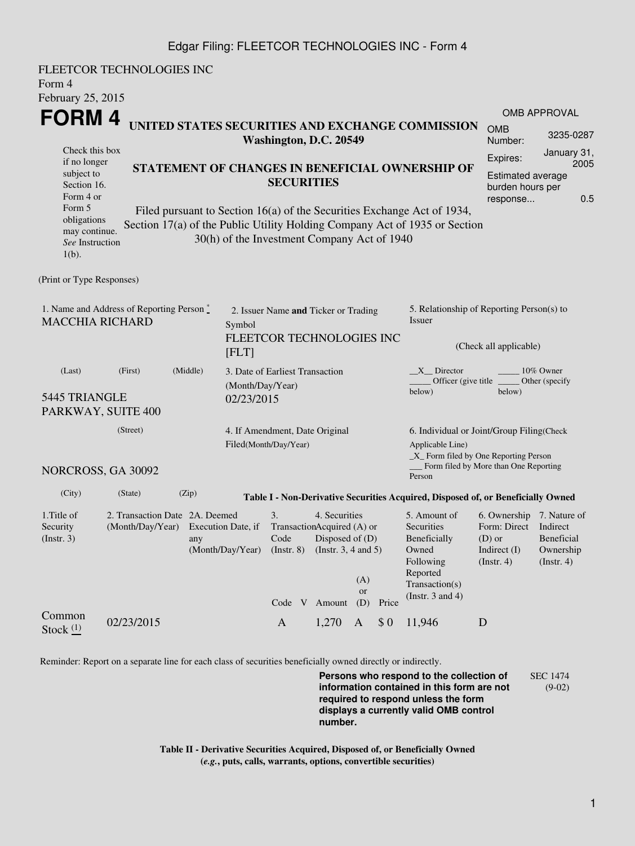## Edgar Filing: FLEETCOR TECHNOLOGIES INC - Form 4

FLEETCOR TECHNOLOGIES INC Form 4 February 25, 2015 **FORM 4** Check this box if no longer subject to Section 16. Form 4 or Form 5 obligations may continue. *See* Instruction  $1(h)$ . **UNITED STATES SECURITIES AND EXCHANGE COMMISSION Washington, D.C. 20549 STATEMENT OF CHANGES IN BENEFICIAL OWNERSHIP OF SECURITIES** Filed pursuant to Section 16(a) of the Securities Exchange Act of 1934, Section 17(a) of the Public Utility Holding Company Act of 1935 or Section 30(h) of the Investment Company Act of 1940 OMB APPROVAL OMB Number: 3235-0287 Expires: January 31, 2005 Estimated average burden hours per response... 0.5 (Print or Type Responses) 1. Name and Address of Reporting Person  $\degree$ MACCHIA RICHARD 2. Issuer Name **and** Ticker or Trading Symbol FLEETCOR TECHNOLOGIES INC [FLT] 5. Relationship of Reporting Person(s) to Issuer (Check all applicable) \_X\_\_ Director \_\_\_\_\_\_\_\_ 10% Owner Officer (give title below) Other (specify below) (Last) (First) (Middle) 5445 TRIANGLE PARKWAY, SUITE 400 3. Date of Earliest Transaction (Month/Day/Year) 02/23/2015 (Street) NORCROSS, GA 30092 4. If Amendment, Date Original Filed(Month/Day/Year) 6. Individual or Joint/Group Filing(Check Applicable Line) \_X\_ Form filed by One Reporting Person Form filed by More than One Reporting Person (City) (State) (Zip) **Table I - Non-Derivative Securities Acquired, Disposed of, or Beneficially Owned** 1.Title of Security (Instr. 3) 2. Transaction Date 2A. Deemed (Month/Day/Year) Execution Date, if any (Month/Day/Year) 3. Transaction Acquired (A) or Code (Instr. 8) 4. Securities Disposed of (D) (Instr. 3, 4 and 5) 5. Amount of **Securities** Beneficially Owned Following Reported Transaction(s) (Instr. 3 and 4) 6. Ownership 7. Nature of Form: Direct Indirect (D) or Indirect (I) (Instr. 4) Beneficial Ownership (Instr. 4) Code V Amount  $(A)$ or (D) Price Common Stock  $\frac{(1)}{2}$  02/23/2015 A 1,270 A \$ 0 11,946 D

Reminder: Report on a separate line for each class of securities beneficially owned directly or indirectly.

**Persons who respond to the collection of information contained in this form are not required to respond unless the form displays a currently valid OMB control number.** SEC 1474 (9-02)

**Table II - Derivative Securities Acquired, Disposed of, or Beneficially Owned (***e.g.***, puts, calls, warrants, options, convertible securities)**